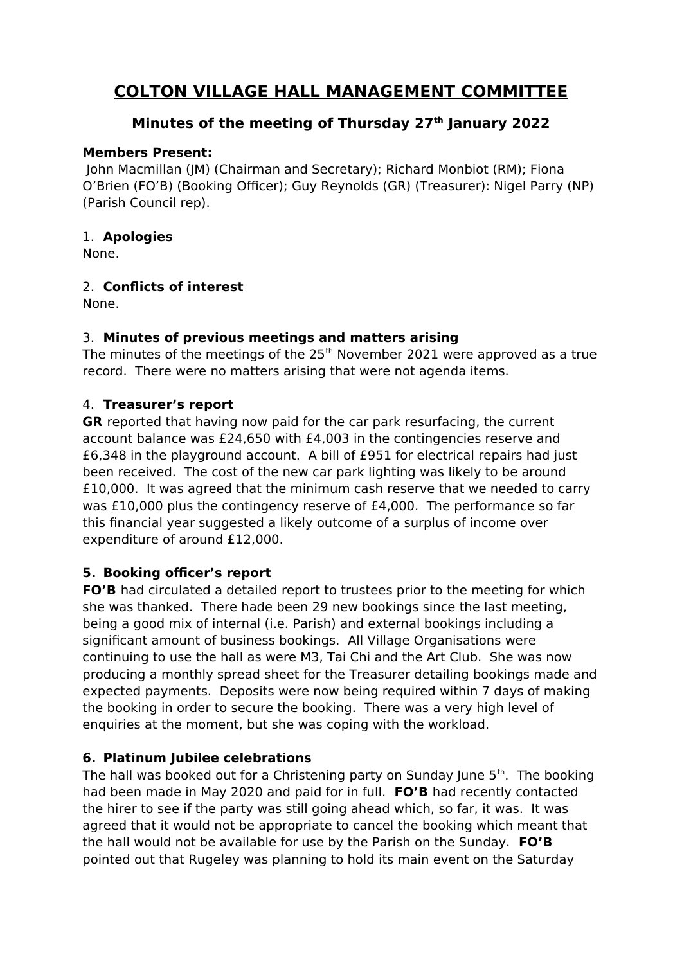# **COLTON VILLAGE HALL MANAGEMENT COMMITTEE**

### **Minutes of the meeting of Thursday 27th January 2022**

#### **Members Present:**

 John Macmillan (JM) (Chairman and Secretary); Richard Monbiot (RM); Fiona O'Brien (FO'B) (Booking Officer); Guy Reynolds (GR) (Treasurer): Nigel Parry (NP) (Parish Council rep).

#### 1. **Apologies**

None.

#### 2. **Conflicts of interest**

None.

### 3. **Minutes of previous meetings and matters arising**

The minutes of the meetings of the  $25<sup>th</sup>$  November 2021 were approved as a true record. There were no matters arising that were not agenda items.

#### 4. **Treasurer's report**

**GR** reported that having now paid for the car park resurfacing, the current account balance was £24,650 with £4,003 in the contingencies reserve and £6,348 in the playground account. A bill of £951 for electrical repairs had just been received. The cost of the new car park lighting was likely to be around £10,000. It was agreed that the minimum cash reserve that we needed to carry was £10,000 plus the contingency reserve of £4,000. The performance so far this financial year suggested a likely outcome of a surplus of income over expenditure of around £12,000.

#### **5. Booking officer's report**

**FO'B** had circulated a detailed report to trustees prior to the meeting for which she was thanked. There hade been 29 new bookings since the last meeting, being a good mix of internal (i.e. Parish) and external bookings including a significant amount of business bookings. All Village Organisations were continuing to use the hall as were M3, Tai Chi and the Art Club. She was now producing a monthly spread sheet for the Treasurer detailing bookings made and expected payments. Deposits were now being required within 7 days of making the booking in order to secure the booking. There was a very high level of enquiries at the moment, but she was coping with the workload.

#### **6. Platinum Jubilee celebrations**

The hall was booked out for a Christening party on Sunday June  $5<sup>th</sup>$ . The booking had been made in May 2020 and paid for in full. **FO'B** had recently contacted the hirer to see if the party was still going ahead which, so far, it was. It was agreed that it would not be appropriate to cancel the booking which meant that the hall would not be available for use by the Parish on the Sunday. **FO'B**  pointed out that Rugeley was planning to hold its main event on the Saturday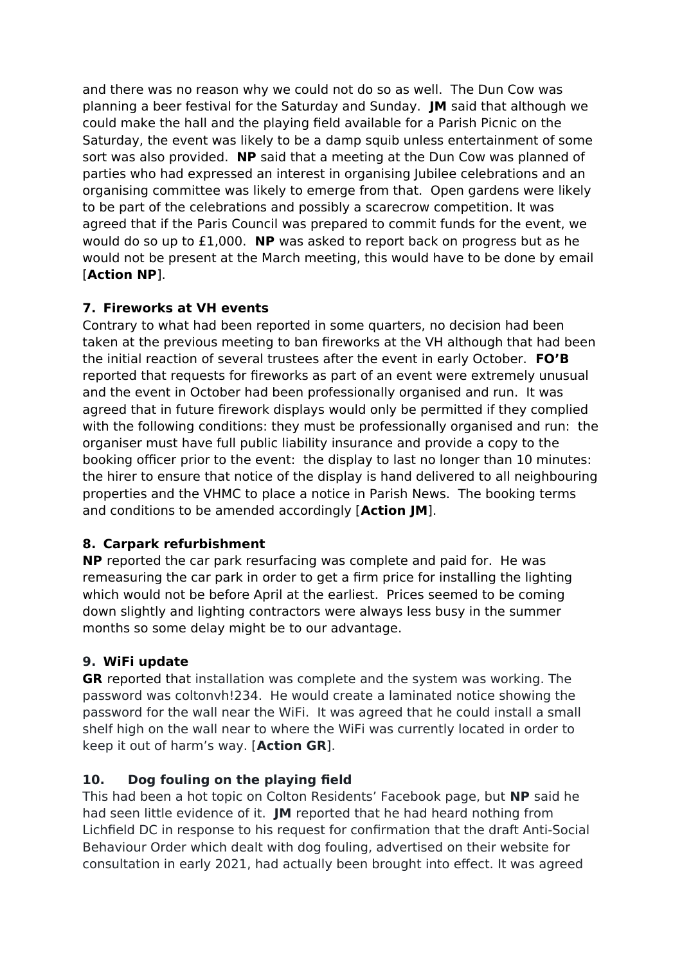and there was no reason why we could not do so as well. The Dun Cow was planning a beer festival for the Saturday and Sunday. **JM** said that although we could make the hall and the playing field available for a Parish Picnic on the Saturday, the event was likely to be a damp squib unless entertainment of some sort was also provided. **NP** said that a meeting at the Dun Cow was planned of parties who had expressed an interest in organising Jubilee celebrations and an organising committee was likely to emerge from that. Open gardens were likely to be part of the celebrations and possibly a scarecrow competition. It was agreed that if the Paris Council was prepared to commit funds for the event, we would do so up to £1,000. **NP** was asked to report back on progress but as he would not be present at the March meeting, this would have to be done by email [**Action NP**].

### **7. Fireworks at VH events**

Contrary to what had been reported in some quarters, no decision had been taken at the previous meeting to ban fireworks at the VH although that had been the initial reaction of several trustees after the event in early October. **FO'B**  reported that requests for fireworks as part of an event were extremely unusual and the event in October had been professionally organised and run. It was agreed that in future firework displays would only be permitted if they complied with the following conditions: they must be professionally organised and run: the organiser must have full public liability insurance and provide a copy to the booking officer prior to the event: the display to last no longer than 10 minutes: the hirer to ensure that notice of the display is hand delivered to all neighbouring properties and the VHMC to place a notice in Parish News. The booking terms and conditions to be amended accordingly [**Action JM**].

## **8. Carpark refurbishment**

**NP** reported the car park resurfacing was complete and paid for. He was remeasuring the car park in order to get a firm price for installing the lighting which would not be before April at the earliest. Prices seemed to be coming down slightly and lighting contractors were always less busy in the summer months so some delay might be to our advantage.

## **9. WiFi update**

**GR** reported that installation was complete and the system was working. The password was coltonvh!234. He would create a laminated notice showing the password for the wall near the WiFi. It was agreed that he could install a small shelf high on the wall near to where the WiFi was currently located in order to keep it out of harm's way. [**Action GR**].

#### **10. Dog fouling on the playing field**

This had been a hot topic on Colton Residents' Facebook page, but **NP** said he had seen little evidence of it. **JM** reported that he had heard nothing from Lichfield DC in response to his request for confirmation that the draft Anti-Social Behaviour Order which dealt with dog fouling, advertised on their website for consultation in early 2021, had actually been brought into effect. It was agreed